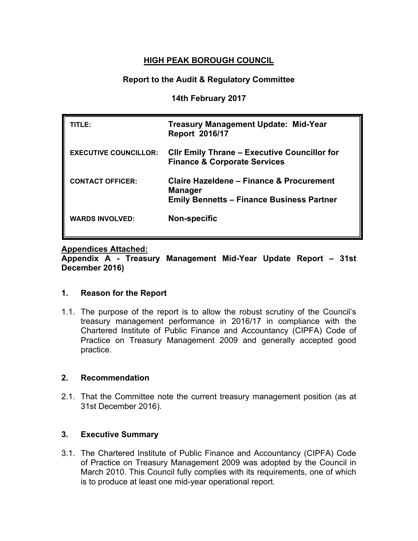## **HIGH PEAK BOROUGH COUNCIL**

## **Report to the Audit & Regulatory Committee**

**14th February 2017**

| TITLE:                       | <b>Treasury Management Update: Mid-Year</b><br><b>Report 2016/17</b>                                           |
|------------------------------|----------------------------------------------------------------------------------------------------------------|
| <b>EXECUTIVE COUNCILLOR:</b> | <b>CIIr Emily Thrane – Executive Councillor for</b><br><b>Finance &amp; Corporate Services</b>                 |
| <b>CONTACT OFFICER:</b>      | Claire Hazeldene - Finance & Procurement<br><b>Manager</b><br><b>Emily Bennetts - Finance Business Partner</b> |
| <b>WARDS INVOLVED:</b>       | <b>Non-specific</b>                                                                                            |

## **Appendices Attached:**

**Appendix A - Treasury Management Mid-Year Update Report – 31st December 2016)**

## **1. Reason for the Report**

1.1. The purpose of the report is to allow the robust scrutiny of the Council's treasury management performance in 2016/17 in compliance with the Chartered Institute of Public Finance and Accountancy (CIPFA) Code of Practice on Treasury Management 2009 and generally accepted good practice.

## **2. Recommendation**

2.1. That the Committee note the current treasury management position (as at 31st December 2016).

## **3. Executive Summary**

3.1. The Chartered Institute of Public Finance and Accountancy (CIPFA) Code of Practice on Treasury Management 2009 was adopted by the Council in March 2010. This Council fully complies with its requirements, one of which is to produce at least one mid-year operational report.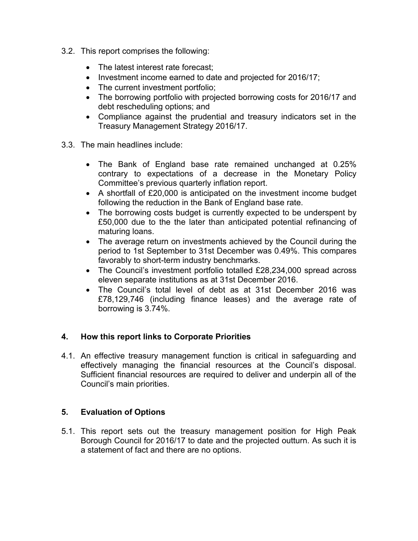- 3.2. This report comprises the following:
	- The latest interest rate forecast;
	- Investment income earned to date and projected for 2016/17;
	- The current investment portfolio;
	- The borrowing portfolio with projected borrowing costs for 2016/17 and debt rescheduling options; and
	- Compliance against the prudential and treasury indicators set in the Treasury Management Strategy 2016/17.
- 3.3. The main headlines include:
	- The Bank of England base rate remained unchanged at 0.25% contrary to expectations of a decrease in the Monetary Policy Committee's previous quarterly inflation report.
	- A shortfall of £20,000 is anticipated on the investment income budget following the reduction in the Bank of England base rate.
	- The borrowing costs budget is currently expected to be underspent by £50,000 due to the the later than anticipated potential refinancing of maturing loans.
	- The average return on investments achieved by the Council during the period to 1st September to 31st December was 0.49%. This compares favorably to short-term industry benchmarks.
	- The Council's investment portfolio totalled £28,234,000 spread across eleven separate institutions as at 31st December 2016.
	- The Council's total level of debt as at 31st December 2016 was £78,129,746 (including finance leases) and the average rate of borrowing is 3.74%.

## **4. How this report links to Corporate Priorities**

4.1. An effective treasury management function is critical in safeguarding and effectively managing the financial resources at the Council's disposal. Sufficient financial resources are required to deliver and underpin all of the Council's main priorities.

## **5. Evaluation of Options**

5.1. This report sets out the treasury management position for High Peak Borough Council for 2016/17 to date and the projected outturn. As such it is a statement of fact and there are no options.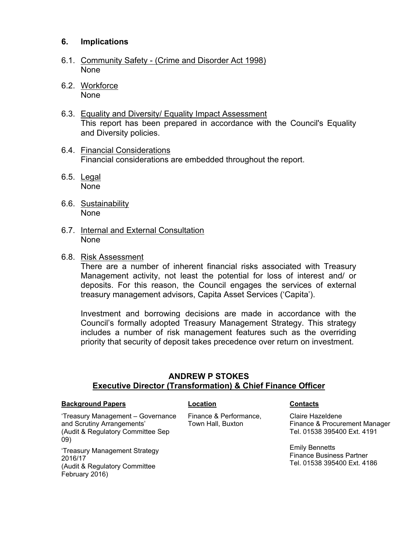## **6. Implications**

- 6.1. Community Safety (Crime and Disorder Act 1998) None
- 6.2. Workforce None
- 6.3. Equality and Diversity/ Equality Impact Assessment This report has been prepared in accordance with the Council's Equality and Diversity policies.
- 6.4. Financial Considerations Financial considerations are embedded throughout the report.
- 6.5. Legal None
- 6.6. Sustainability None
- 6.7. Internal and External Consultation None
- 6.8. Risk Assessment

There are a number of inherent financial risks associated with Treasury Management activity, not least the potential for loss of interest and/ or deposits. For this reason, the Council engages the services of external treasury management advisors, Capita Asset Services ('Capita').

Investment and borrowing decisions are made in accordance with the Council's formally adopted Treasury Management Strategy. This strategy includes a number of risk management features such as the overriding priority that security of deposit takes precedence over return on investment.

## **ANDREW P STOKES Executive Director (Transformation) & Chief Finance Officer**

### **Background Papers Location Contacts**

'Treasury Management – Governance and Scrutiny Arrangements' (Audit & Regulatory Committee Sep 09)

'Treasury Management Strategy 2016/17 (Audit & Regulatory Committee February 2016)

Finance & Performance, Town Hall, Buxton

Claire Hazeldene Finance & Procurement Manager Tel. 01538 395400 Ext. 4191

Emily Bennetts Finance Business Partner Tel. 01538 395400 Ext. 4186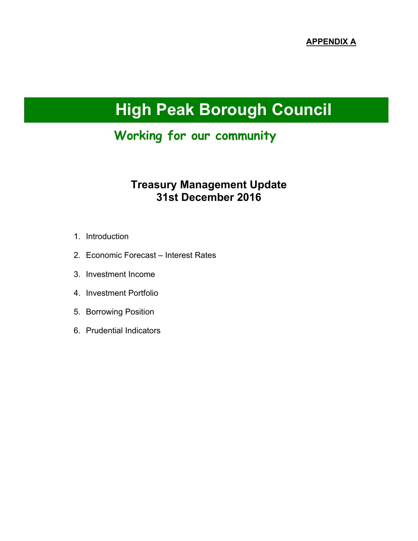# **High Peak Borough Council**

# **Working for our community**

## **Treasury Management Update 31st December 2016**

- 1. Introduction
- 2. Economic Forecast Interest Rates
- 3. Investment Income
- 4. Investment Portfolio
- 5. Borrowing Position
- 6. Prudential Indicators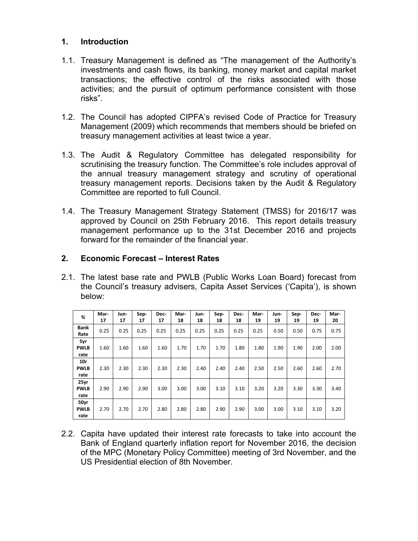## **1. Introduction**

- 1.1. Treasury Management is defined as "The management of the Authority's investments and cash flows, its banking, money market and capital market transactions; the effective control of the risks associated with those activities; and the pursuit of optimum performance consistent with those risks".
- 1.2. The Council has adopted CIPFA's revised Code of Practice for Treasury Management (2009) which recommends that members should be briefed on treasury management activities at least twice a year.
- 1.3. The Audit & Regulatory Committee has delegated responsibility for scrutinising the treasury function. The Committee's role includes approval of the annual treasury management strategy and scrutiny of operational treasury management reports. Decisions taken by the Audit & Regulatory Committee are reported to full Council.
- 1.4. The Treasury Management Strategy Statement (TMSS) for 2016/17 was approved by Council on 25th February 2016. This report details treasury management performance up to the 31st December 2016 and projects forward for the remainder of the financial year.

## **2. Economic Forecast – Interest Rates**

2.1. The latest base rate and PWLB (Public Works Loan Board) forecast from the Council's treasury advisers, Capita Asset Services ('Capita'), is shown below:

| %           | Mar- | Jun- | Sep- | Dec- | Mar- | Jun- | Sep- | Dec- | Mar- | Jun- | Sep- | Dec- | Mar- |
|-------------|------|------|------|------|------|------|------|------|------|------|------|------|------|
|             | 17   | 17   | 17   | 17   | 18   | 18   | 18   | 18   | 19   | 19   | 19   | 19   | 20   |
| <b>Bank</b> | 0.25 | 0.25 | 0.25 | 0.25 | 0.25 | 0.25 | 0.25 | 0.25 | 0.25 | 0.50 | 0.50 | 0.75 | 0.75 |
| Rate        |      |      |      |      |      |      |      |      |      |      |      |      |      |
| 5yr         |      |      |      |      |      |      |      |      |      |      |      |      |      |
| <b>PWLB</b> | 1.60 | 1.60 | 1.60 | 1.60 | 1.70 | 1.70 | 1.70 | 1.80 | 1.80 | 1.90 | 1.90 | 2.00 | 2.00 |
| rate        |      |      |      |      |      |      |      |      |      |      |      |      |      |
| 10r         |      |      |      |      |      |      |      |      |      |      |      |      |      |
| <b>PWLB</b> | 2.30 | 2.30 | 2.30 | 2.30 | 2.30 | 2.40 | 2.40 | 2.40 | 2.50 | 2.50 | 2.60 | 2.60 | 2.70 |
| rate        |      |      |      |      |      |      |      |      |      |      |      |      |      |
| 25yr        |      |      |      |      |      |      |      |      |      |      |      |      |      |
| <b>PWLB</b> | 2.90 | 2.90 | 2.90 | 3.00 | 3.00 | 3.00 | 3.10 | 3.10 | 3.20 | 3.20 | 3.30 | 3.30 | 3.40 |
| rate        |      |      |      |      |      |      |      |      |      |      |      |      |      |
| 50yr        |      |      |      |      |      |      |      |      |      |      |      |      |      |
| <b>PWLB</b> | 2.70 | 2.70 | 2.70 | 2.80 | 2.80 | 2.80 | 2.90 | 2.90 | 3.00 | 3.00 | 3.10 | 3.10 | 3.20 |
| rate        |      |      |      |      |      |      |      |      |      |      |      |      |      |

2.2. Capita have updated their interest rate forecasts to take into account the Bank of England quarterly inflation report for November 2016, the decision of the MPC (Monetary Policy Committee) meeting of 3rd November, and the US Presidential election of 8th November.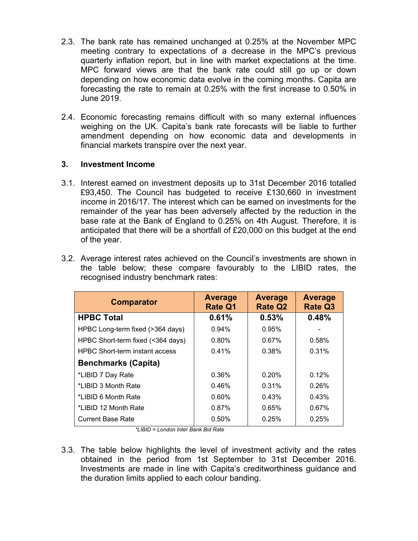- 2.3. The bank rate has remained unchanged at 0.25% at the November MPC meeting contrary to expectations of a decrease in the MPC's previous quarterly inflation report, but in line with market expectations at the time. MPC forward views are that the bank rate could still go up or down depending on how economic data evolve in the coming months. Capita are forecasting the rate to remain at 0.25% with the first increase to 0.50% in June 2019.
- 2.4. Economic forecasting remains difficult with so many external influences weighing on the UK. Capita's bank rate forecasts will be liable to further amendment depending on how economic data and developments in financial markets transpire over the next year.

## **3. Investment Income**

3.1. Interest earned on investment deposits up to 31st December 2016 totalled £93,450. The Council has budgeted to receive £130,660 in investment income in 2016/17. The interest which can be earned on investments for the remainder of the year has been adversely affected by the reduction in the base rate at the Bank of England to 0.25% on 4th August. Therefore, it is anticipated that there will be a shortfall of £20,000 on this budget at the end of the year.

|  |  |                                      | 3.2. Average interest rates achieved on the Council's investments are shown in |  |  |  |
|--|--|--------------------------------------|--------------------------------------------------------------------------------|--|--|--|
|  |  |                                      | the table below; these compare favourably to the LIBID rates, the              |  |  |  |
|  |  | recognised industry benchmark rates: |                                                                                |  |  |  |

| <b>Comparator</b>                     | <b>Average</b><br><b>Rate Q1</b> | <b>Average</b><br><b>Rate Q2</b> | Average<br><b>Rate Q3</b> |
|---------------------------------------|----------------------------------|----------------------------------|---------------------------|
| <b>HPBC Total</b>                     | 0.61%                            | 0.53%                            | 0.48%                     |
| HPBC Long-term fixed (>364 days)      | 0.94%                            | 0.95%                            |                           |
| HPBC Short-term fixed (<364 days)     | 0.80%                            | 0.67%                            | 0.58%                     |
| <b>HPBC Short-term instant access</b> | 0.41%                            | 0.38%                            | 0.31%                     |
| <b>Benchmarks (Capita)</b>            |                                  |                                  |                           |
| *LIBID 7 Day Rate                     | 0.36%                            | 0.20%                            | 0.12%                     |
| *LIBID 3 Month Rate                   | 0.46%                            | 0.31%                            | 0.26%                     |
| *LIBID 6 Month Rate                   | 0.60%                            | 0.43%                            | 0.43%                     |
| *LIBID 12 Month Rate                  | 0.87%                            | 0.65%                            | 0.67%                     |
| <b>Current Base Rate</b>              | 0.50%                            | 0.25%                            | 0.25%                     |

*\*LIBID = London Inter Bank Bid Rate*

3.3. The table below highlights the level of investment activity and the rates obtained in the period from 1st September to 31st December 2016. Investments are made in line with Capita's creditworthiness guidance and the duration limits applied to each colour banding.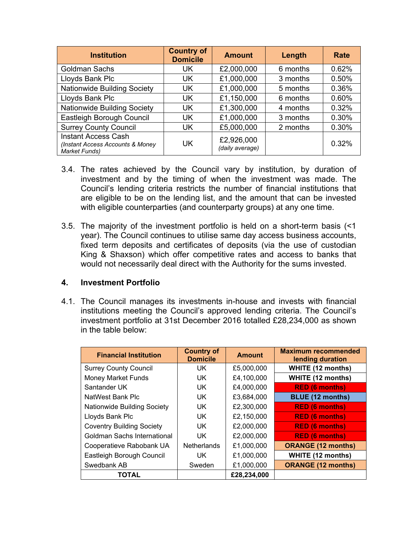| <b>Institution</b>                                                                     | <b>Country of</b><br><b>Domicile</b> | <b>Amount</b>                 | Length   | Rate  |
|----------------------------------------------------------------------------------------|--------------------------------------|-------------------------------|----------|-------|
| <b>Goldman Sachs</b>                                                                   | UK                                   | £2,000,000                    | 6 months | 0.62% |
| Lloyds Bank Plc                                                                        | UK                                   | £1,000,000                    | 3 months | 0.50% |
| Nationwide Building Society                                                            | <b>UK</b>                            | £1,000,000                    | 5 months | 0.36% |
| Lloyds Bank Plc                                                                        | <b>UK</b>                            | £1,150,000                    | 6 months | 0.60% |
| Nationwide Building Society                                                            | UK                                   | £1,300,000                    | 4 months | 0.32% |
| Eastleigh Borough Council                                                              | <b>UK</b>                            | £1,000,000                    | 3 months | 0.30% |
| <b>Surrey County Council</b>                                                           | <b>UK</b>                            | £5,000,000                    | 2 months | 0.30% |
| <b>Instant Access Cash</b><br>(Instant Access Accounts & Money<br><b>Market Funds)</b> | UK                                   | £2,926,000<br>(daily average) |          | 0.32% |

- 3.4. The rates achieved by the Council vary by institution, by duration of investment and by the timing of when the investment was made. The Council's lending criteria restricts the number of financial institutions that are eligible to be on the lending list, and the amount that can be invested with eligible counterparties (and counterparty groups) at any one time.
- 3.5. The majority of the investment portfolio is held on a short-term basis (<1 year). The Council continues to utilise same day access business accounts, fixed term deposits and certificates of deposits (via the use of custodian King & Shaxson) which offer competitive rates and access to banks that would not necessarily deal direct with the Authority for the sums invested.

## **4. Investment Portfolio**

4.1. The Council manages its investments in-house and invests with financial institutions meeting the Council's approved lending criteria. The Council's investment portfolio at 31st December 2016 totalled £28,234,000 as shown in the table below:

| <b>Financial Institution</b>       | <b>Country of</b><br><b>Domicile</b> | <b>Amount</b> | <b>Maximum recommended</b><br>lending duration |
|------------------------------------|--------------------------------------|---------------|------------------------------------------------|
| <b>Surrey County Council</b>       | UK                                   | £5,000,000    | <b>WHITE (12 months)</b>                       |
| <b>Money Market Funds</b>          | UK                                   | £4,100,000    | <b>WHITE (12 months)</b>                       |
| Santander UK                       | UK                                   | £4,000,000    | <b>RED (6 months)</b>                          |
| NatWest Bank Plc                   | UK.                                  | £3,684,000    | <b>BLUE (12 months)</b>                        |
| <b>Nationwide Building Society</b> | UK                                   | £2,300,000    | <b>RED (6 months)</b>                          |
| Lloyds Bank Plc                    | UK.                                  | £2,150,000    | <b>RED (6 months)</b>                          |
| <b>Coventry Building Society</b>   | UK                                   | £2,000,000    | <b>RED (6 months)</b>                          |
| Goldman Sachs International        | UK                                   | £2,000,000    | <b>RED (6 months)</b>                          |
| Cooperatieve Rabobank UA           | <b>Netherlands</b>                   | £1,000,000    | <b>ORANGE (12 months)</b>                      |
| Eastleigh Borough Council          | UK.                                  | £1,000,000    | <b>WHITE (12 months)</b>                       |
| Swedbank AB                        | Sweden                               | £1,000,000    | <b>ORANGE (12 months)</b>                      |
| <b>TOTAL</b>                       |                                      | £28,234,000   |                                                |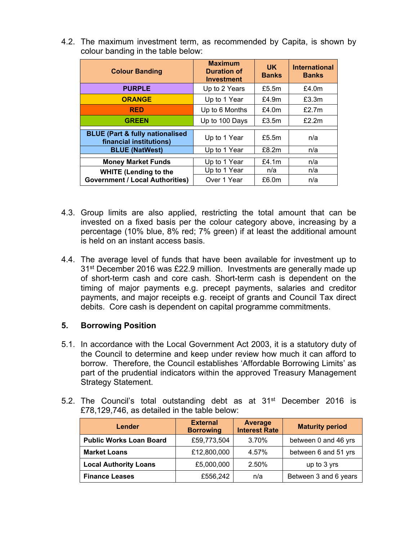4.2. The maximum investment term, as recommended by Capita, is shown by colour banding in the table below:

| <b>Colour Banding</b>                                                 | <b>Maximum</b><br><b>Duration of</b><br><b>Investment</b> | UK.<br><b>Banks</b> | <b>International</b><br><b>Banks</b> |
|-----------------------------------------------------------------------|-----------------------------------------------------------|---------------------|--------------------------------------|
| <b>PURPLE</b>                                                         | Up to 2 Years                                             | £5.5 $m$            | £4.0 $m$                             |
| <b>ORANGE</b>                                                         | Up to 1 Year                                              | £4.9m               | £3.3m                                |
| <b>RED</b>                                                            | Up to 6 Months                                            | £4.0m               | £2.7m                                |
| <b>GREEN</b>                                                          | Up to 100 Days                                            | £3.5m               | £2.2m                                |
| <b>BLUE (Part &amp; fully nationalised</b><br>financial institutions) | Up to 1 Year                                              | £5.5 $m$            | n/a                                  |
| <b>BLUE (NatWest)</b>                                                 | Up to 1 Year                                              | £8.2m               | n/a                                  |
| <b>Money Market Funds</b>                                             | Up to 1 Year                                              | £4.1 $m$            | n/a                                  |
| <b>WHITE (Lending to the</b>                                          | Up to 1 Year                                              | n/a                 | n/a                                  |
| <b>Government / Local Authorities)</b>                                | Over 1 Year                                               | £6.0m               | n/a                                  |

- 4.3. Group limits are also applied, restricting the total amount that can be invested on a fixed basis per the colour category above, increasing by a percentage (10% blue, 8% red; 7% green) if at least the additional amount is held on an instant access basis.
- 4.4. The average level of funds that have been available for investment up to 31<sup>st</sup> December 2016 was £22.9 million. Investments are generally made up of short-term cash and core cash. Short-term cash is dependent on the timing of major payments e.g. precept payments, salaries and creditor payments, and major receipts e.g. receipt of grants and Council Tax direct debits. Core cash is dependent on capital programme commitments.

## **5. Borrowing Position**

- 5.1. In accordance with the Local Government Act 2003, it is a statutory duty of the Council to determine and keep under review how much it can afford to borrow. Therefore, the Council establishes 'Affordable Borrowing Limits' as part of the prudential indicators within the approved Treasury Management Strategy Statement.
- 5.2. The Council's total outstanding debt as at 31<sup>st</sup> December 2016 is £78,129,746, as detailed in the table below:

| Lender                         | <b>External</b><br><b>Borrowing</b> | Average<br><b>Interest Rate</b> | <b>Maturity period</b> |
|--------------------------------|-------------------------------------|---------------------------------|------------------------|
| <b>Public Works Loan Board</b> | £59,773,504                         | 3.70%                           | between 0 and 46 yrs   |
| <b>Market Loans</b>            | £12,800,000                         | 4.57%                           | between 6 and 51 yrs   |
| <b>Local Authority Loans</b>   | £5,000,000                          | 2.50%                           | up to 3 yrs            |
| <b>Finance Leases</b>          | £556,242                            | n/a                             | Between 3 and 6 years  |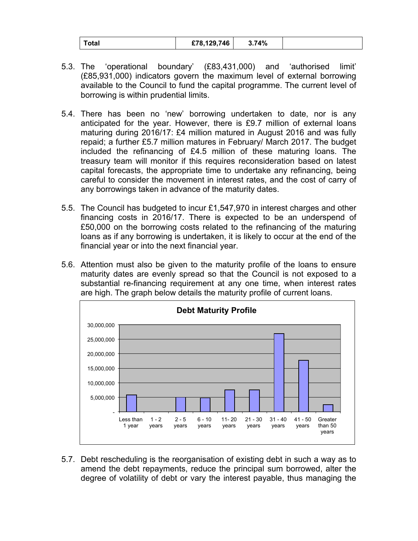| otal | £78,129,746 | 74%،د |  |
|------|-------------|-------|--|
|------|-------------|-------|--|

- 5.3. The 'operational boundary' (£83,431,000) and 'authorised limit' (£85,931,000) indicators govern the maximum level of external borrowing available to the Council to fund the capital programme. The current level of borrowing is within prudential limits.
- 5.4. There has been no 'new' borrowing undertaken to date, nor is any anticipated for the year. However, there is £9.7 million of external loans maturing during 2016/17: £4 million matured in August 2016 and was fully repaid; a further £5.7 million matures in February/ March 2017. The budget included the refinancing of £4.5 million of these maturing loans. The treasury team will monitor if this requires reconsideration based on latest capital forecasts, the appropriate time to undertake any refinancing, being careful to consider the movement in interest rates, and the cost of carry of any borrowings taken in advance of the maturity dates.
- 5.5. The Council has budgeted to incur £1,547,970 in interest charges and other financing costs in 2016/17. There is expected to be an underspend of £50,000 on the borrowing costs related to the refinancing of the maturing loans as if any borrowing is undertaken, it is likely to occur at the end of the financial year or into the next financial year.
- 5.6. Attention must also be given to the maturity profile of the loans to ensure maturity dates are evenly spread so that the Council is not exposed to a substantial re-financing requirement at any one time, when interest rates are high. The graph below details the maturity profile of current loans.



5.7. Debt rescheduling is the reorganisation of existing debt in such a way as to amend the debt repayments, reduce the principal sum borrowed, alter the degree of volatility of debt or vary the interest payable, thus managing the